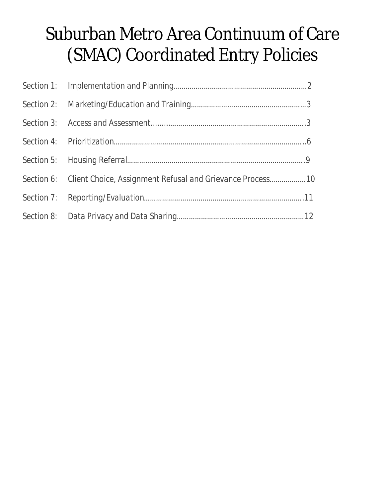# Suburban Metro Area Continuum of Care (SMAC) Coordinated Entry Policies

| Section 6: Client Choice, Assignment Refusal and Grievance Process 10 |  |
|-----------------------------------------------------------------------|--|
|                                                                       |  |
|                                                                       |  |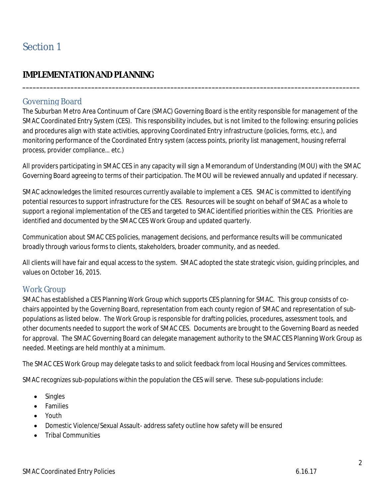## **IMPLEMENTATION AND PLANNING**

#### Governing Board

The Suburban Metro Area Continuum of Care (SMAC) Governing Board is the entity responsible for management of the SMAC Coordinated Entry System (CES). This responsibility includes, but is not limited to the following: ensuring policies and procedures align with state activities, approving Coordinated Entry infrastructure (policies, forms, etc.), and monitoring performance of the Coordinated Entry system (access points, priority list management, housing referral process, provider compliance… etc.)

**\_\_\_\_\_\_\_\_\_\_\_\_\_\_\_\_\_\_\_\_\_\_\_\_\_\_\_\_\_\_\_\_\_\_\_\_\_\_\_\_\_\_\_\_\_\_\_\_\_\_\_\_\_\_\_\_\_\_\_\_\_\_\_\_\_\_\_\_\_\_\_\_\_\_\_\_\_\_\_\_\_\_\_\_\_\_\_\_\_\_\_\_\_\_\_\_\_\_**

All providers participating in SMAC CES in any capacity will sign a Memorandum of Understanding (MOU) with the SMAC Governing Board agreeing to terms of their participation. The MOU will be reviewed annually and updated if necessary.

SMAC acknowledges the limited resources currently available to implement a CES. SMAC is committed to identifying potential resources to support infrastructure for the CES. Resources will be sought on behalf of SMAC as a whole to support a regional implementation of the CES and targeted to SMAC identified priorities within the CES. Priorities are identified and documented by the SMAC CES Work Group and updated quarterly.

Communication about SMAC CES policies, management decisions, and performance results will be communicated broadly through various forms to clients, stakeholders, broader community, and as needed.

All clients will have fair and equal access to the system. SMAC adopted the state strategic vision, guiding principles, and values on October 16, 2015.

#### Work Group

SMAC has established a CES Planning Work Group which supports CES planning for SMAC. This group consists of cochairs appointed by the Governing Board, representation from each county region of SMAC and representation of subpopulations as listed below. The Work Group is responsible for drafting policies, procedures, assessment tools, and other documents needed to support the work of SMAC CES. Documents are brought to the Governing Board as needed for approval. The SMAC Governing Board can delegate management authority to the SMAC CES Planning Work Group as needed. Meetings are held monthly at a minimum.

The SMAC CES Work Group may delegate tasks to and solicit feedback from local Housing and Services committees.

SMAC recognizes sub-populations within the population the CES will serve. These sub-populations include:

- Singles
- **•** Families
- Youth
- Domestic Violence/Sexual Assault- address safety outline how safety will be ensured
- Tribal Communities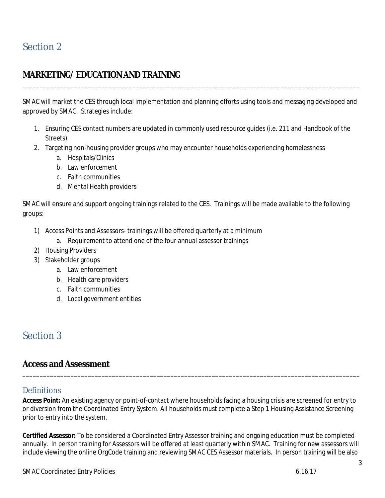# **MARKETING/EDUCATIONAND TRAINING**

SMAC will market the CES through local implementation and planning efforts using tools and messaging developed and approved by SMAC. Strategies include:

**\_\_\_\_\_\_\_\_\_\_\_\_\_\_\_\_\_\_\_\_\_\_\_\_\_\_\_\_\_\_\_\_\_\_\_\_\_\_\_\_\_\_\_\_\_\_\_\_\_\_\_\_\_\_\_\_\_\_\_\_\_\_\_\_\_\_\_\_\_\_\_\_\_\_\_\_\_\_\_\_\_\_\_\_\_\_\_\_\_\_\_\_\_\_\_\_\_\_**

- 1. Ensuring CES contact numbers are updated in commonly used resource guides (i.e. 211 and Handbook of the Streets)
- 2. Targeting non-housing provider groups who may encounter households experiencing homelessness
	- a. Hospitals/Clinics
	- b. Law enforcement
	- c. Faith communities
	- d. Mental Health providers

SMAC will ensure and support ongoing trainings related to the CES. Trainings will be made available to the following groups:

- 1) Access Points and Assessors- trainings will be offered quarterly at a minimum
	- a. Requirement to attend one of the four annual assessor trainings
- 2) Housing Providers
- 3) Stakeholder groups
	- a. Law enforcement
	- b. Health care providers
	- c. Faith communities
	- d. Local government entities

# Section 3

## **Access andAssessment**

#### **Definitions**

**Access Point:** An existing agency or point-of-contact where households facing a housing crisis are screened for entry to or diversion from the Coordinated Entry System. All households must complete a Step 1 Housing Assistance Screening prior to entry into the system.

**\_\_\_\_\_\_\_\_\_\_\_\_\_\_\_\_\_\_\_\_\_\_\_\_\_\_\_\_\_\_\_\_\_\_\_\_\_\_\_\_\_\_\_\_\_\_\_\_\_\_\_\_\_\_\_\_\_\_\_\_\_\_\_\_\_\_\_\_\_\_\_\_\_\_\_\_\_\_\_\_\_\_\_\_\_\_\_\_\_\_\_\_\_\_\_\_\_\_**

**Certified Assessor:** To be considered a Coordinated Entry Assessor training and ongoing education must be completed annually. In person training for Assessors will be offered at least quarterly within SMAC. Training for new assessors will include viewing the online OrgCode training and reviewing SMAC CES Assessor materials. In person training will be also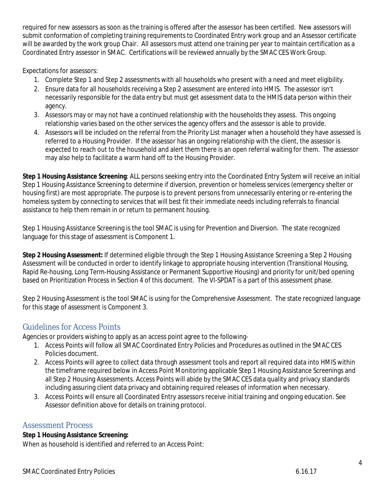required for new assessors as soon as the training is offered after the assessor has been certified. New assessors will submit conformation of completing training requirements to Coordinated Entry work group and an Assessor certificate will be awarded by the work group Chair. All assessors must attend one training per year to maintain certification as a Coordinated Entry assessor in SMAC. Certifications will be reviewed annually by the SMAC CES Work Group.

Expectations for assessors:

- 1. Complete Step 1 and Step 2 assessments with all households who present with a need and meet eligibility.
- 2. Ensure data for all households receiving a Step 2 assessment are entered into HMIS. The assessor isn't necessarily responsible for the data entry but must get assessment data to the HMIS data person within their agency.
- 3. Assessors may or may not have a continued relationship with the households they assess. This ongoing relationship varies based on the other services the agency offers and the assessor is able to provide.
- 4. Assessors will be included on the referral from the Priority List manager when a household they have assessed is referred to a Housing Provider. If the assessor has an ongoing relationship with the client, the assessor is expected to reach out to the household and alert them there is an open referral waiting for them. The assessor may also help to facilitate a warm hand off to the Housing Provider.

**Step 1 Housing Assistance Screening**: ALL persons seeking entry into the Coordinated Entry System will receive an initial Step 1 Housing Assistance Screening to determine if diversion, prevention or homeless services (emergency shelter or housing first) are most appropriate. The purpose is to prevent persons from unnecessarily entering or re-entering the homeless system by connecting to services that will best fit their immediate needs including referrals to financial assistance to help them remain in or return to permanent housing.

Step 1 Housing Assistance Screening is the tool SMAC is using for Prevention and Diversion. The state recognized language for this stage of assessment is Component 1.

**Step 2 Housing Assessment:** If determined eligible through the Step 1 Housing Assistance Screening a Step 2 Housing Assessment will be conducted in order to identify linkage to appropriate housing intervention (Transitional Housing, Rapid Re-housing, Long Term-Housing Assistance or Permanent Supportive Housing) and priority for unit/bed opening based on Prioritization Process in Section 4 of this document. The VI-SPDAT is a part of this assessment phase.

Step 2 Housing Assessment is the tool SMAC is using for the Comprehensive Assessment. The state recognized language for this stage of assessment is Component 3.

## Guidelines for Access Points

Agencies or providers wishing to apply as an access point agree to the following-

- 1. Access Points will follow all SMAC Coordinated Entry Policies and Procedures as outlined in the SMAC CES Policies document.
- 2. Access Points will agree to collect data through assessment tools and report all required data into HMIS within the timeframe required below in Access Point Monitoring applicable Step 1 Housing Assistance Screenings and all Step 2 Housing Assessments. Access Points will abide by the SMAC CES data quality and privacy standards including assuring client data privacy and obtaining required releases of information when necessary.
- 3. Access Points will ensure all Coordinated Entry assessors receive initial training and ongoing education. See Assessor definition above for details on training protocol.

#### Assessment Process

#### **Step 1 Housing Assistance Screening:**

When as household is identified and referred to an Access Point: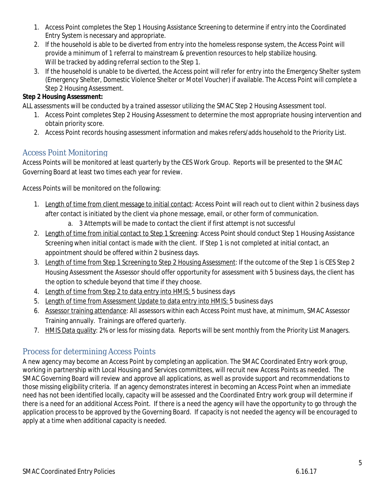- 1. Access Point completes the Step 1 Housing Assistance Screening to determine if entry into the Coordinated Entry System is necessary and appropriate.
- 2. If the household is able to be diverted from entry into the homeless response system, the Access Point will provide a minimum of 1 referral to mainstream & prevention resources to help stabilize housing. Will be tracked by adding referral section to the Step 1.
- 3. If the household is unable to be diverted, the Access point will refer for entry into the Emergency Shelter system (Emergency Shelter, Domestic Violence Shelter or Motel Voucher) if available. The Access Point will complete a Step 2 Housing Assessment.

#### **Step 2 Housing Assessment:**

ALL assessments will be conducted by a trained assessor utilizing the SMAC Step 2 Housing Assessment tool.

- 1. Access Point completes Step 2 Housing Assessment to determine the most appropriate housing intervention and obtain priority score.
- 2. Access Point records housing assessment information and makes refers/adds household to the Priority List.

## Access Point Monitoring

Access Points will be monitored at least quarterly by the CES Work Group. Reports will be presented to the SMAC Governing Board at least two times each year for review.

Access Points will be monitored on the following:

- 1. Length of time from client message to initial contact: Access Point will reach out to client within 2 business days after contact is initiated by the client via phone message, email, or other form of communication.
	- a. 3 Attempts will be made to contact the client if first attempt is not successful
- 2. Length of time from initial contact to Step 1 Screening: Access Point should conduct Step 1 Housing Assistance Screening when initial contact is made with the client. If Step 1 is not completed at initial contact, an appointment should be offered within 2 business days.
- 3. Length of time from Step 1 Screening to Step 2 Housing Assessment: If the outcome of the Step 1 is CES Step 2 Housing Assessment the Assessor should offer opportunity for assessment with 5 business days, the client has the option to schedule beyond that time if they choose.
- 4. Length of time from Step 2 to data entry into HMIS: 5 business days
- 5. Length of time from Assessment Update to data entry into HMIS: 5 business days
- 6. Assessor training attendance: All assessors within each Access Point must have, at minimum, SMAC Assessor Training annually. Trainings are offered quarterly.
- 7. HMIS Data quality: 2% or less for missing data. Reports will be sent monthly from the Priority List Managers.

## Process for determining Access Points

A new agency may become an Access Point by completing an application. The SMAC Coordinated Entry work group, working in partnership with Local Housing and Services committees, will recruit new Access Points as needed. The SMAC Governing Board will review and approve all applications, as well as provide support and recommendations to those missing eligibility criteria. If an agency demonstrates interest in becoming an Access Point when an immediate need has not been identified locally, capacity will be assessed and the Coordinated Entry work group will determine if there is a need for an additional Access Point. If there is a need the agency will have the opportunity to go through the application process to be approved by the Governing Board. If capacity is not needed the agency will be encouraged to apply at a time when additional capacity is needed.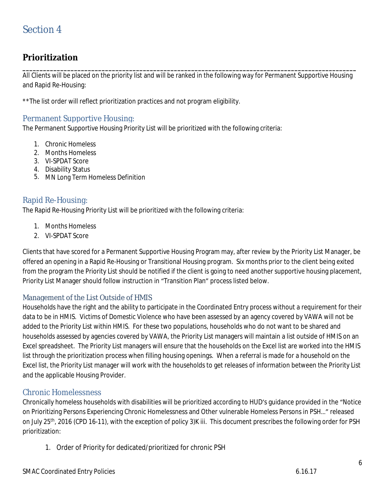## **Prioritization**

**\_\_\_\_\_\_\_\_\_\_\_\_\_\_\_\_\_\_\_\_\_\_\_\_\_\_\_\_\_\_\_\_\_\_\_\_\_\_\_\_\_\_\_\_\_\_\_\_\_\_\_\_\_\_\_\_\_\_\_\_\_\_\_\_\_\_\_\_\_\_\_\_\_\_\_\_\_\_\_\_\_\_\_\_\_\_\_\_\_\_\_\_\_\_\_\_\_** All Clients will be placed on the priority list and will be ranked in the following way for Permanent Supportive Housing and Rapid Re-Housing:

\*\*The list order will reflect prioritization practices and not program eligibility.

#### Permanent Supportive Housing:

The Permanent Supportive Housing Priority List will be prioritized with the following criteria:

- 1. Chronic Homeless
- 2. Months Homeless
- 3. VI-SPDAT Score
- 4. Disability Status
- 5. MN Long Term Homeless Definition

#### Rapid Re-Housing:

The Rapid Re-Housing Priority List will be prioritized with the following criteria:

- 1. Months Homeless
- 2. VI-SPDAT Score

Clients that have scored for a Permanent Supportive Housing Program may, after review by the Priority List Manager, be offered an opening in a Rapid Re-Housing or Transitional Housing program. Six months prior to the client being exited from the program the Priority List should be notified if the client is going to need another supportive housing placement, Priority List Manager should follow instruction in "Transition Plan" process listed below.

#### Management of the List Outside of HMIS

Households have the right and the ability to participate in the Coordinated Entry process without a requirement for their data to be in HMIS. Victims of Domestic Violence who have been assessed by an agency covered by VAWA will not be added to the Priority List within HMIS. For these two populations, households who do not want to be shared and households assessed by agencies covered by VAWA, the Priority List managers will maintain a list outside of HMIS on an Excel spreadsheet. The Priority List managers will ensure that the households on the Excel list are worked into the HMIS list through the prioritization process when filling housing openings. When a referral is made for a household on the Excel list, the Priority List manager will work with the households to get releases of information between the Priority List and the applicable Housing Provider.

#### Chronic Homelessness

Chronically homeless households with disabilities will be prioritized according to HUD's guidance provided in the "Notice on Prioritizing Persons Experiencing Chronic Homelessness and Other vulnerable Homeless Persons in PSH…" released on July 25th, 2016 (CPD 16-11), with the exception of policy 3)K iii. This document prescribes the following order for PSH prioritization:

1. Order of Priority for dedicated/prioritized for chronic PSH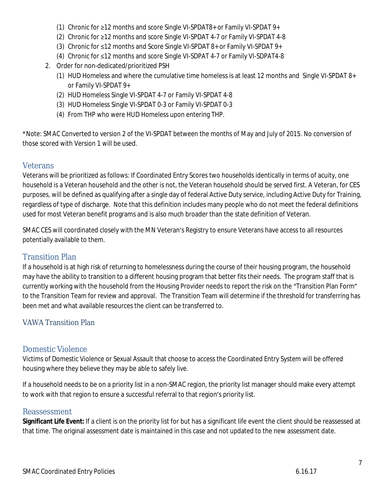- (1) Chronic for ≥12 months and score Single VI-SPDAT8+ or Family VI-SPDAT 9+
- (2) Chronic for ≥12 months and score Single VI-SPDAT 4-7 or Family VI-SPDAT 4-8
- (3) Chronic for ≤12 months and Score Single VI-SPDAT 8+ or Family VI-SPDAT 9+
- (4) Chronic for ≤12 months and score Single VI-SDPAT 4-7 or Family VI-SDPAT4-8
- 2. Order for non-dedicated/prioritized PSH
	- (1) HUD Homeless and where the cumulative time homeless is at least 12 months and Single VI-SPDAT 8+ or Family VI-SPDAT 9+
	- (2) HUD Homeless Single VI-SPDAT 4-7 or Family VI-SPDAT 4-8
	- (3) HUD Homeless Single VI-SPDAT 0-3 or Family VI-SPDAT 0-3
	- (4) From THP who were HUD Homeless upon entering THP.

\*Note: SMAC Converted to version 2 of the VI-SPDAT between the months of May and July of 2015. No conversion of those scored with Version 1 will be used.

#### **Veterans**

Veterans will be prioritized as follows: If Coordinated Entry Scores two households identically in terms of acuity, one household is a Veteran household and the other is not, the Veteran household should be served first. A Veteran, for CES purposes, will be defined as qualifying after a single day of federal Active Duty service, including Active Duty for Training, regardless of type of discharge. Note that this definition includes many people who do not meet the federal definitions used for most Veteran benefit programs and is also much broader than the state definition of Veteran.

SMAC CES will coordinated closely with the MN Veteran's Registry to ensure Veterans have access to all resources potentially available to them.

#### Transition Plan

If a household is at high risk of returning to homelessness during the course of their housing program, the household may have the ability to transition to a different housing program that better fits their needs. The program staff that is currently working with the household from the Housing Provider needs to report the risk on the "Transition Plan Form" to the Transition Team for review and approval. The Transition Team will determine if the threshold for transferring has been met and what available resources the client can be transferred to.

#### VAWA Transition Plan

#### Domestic Violence

Victims of Domestic Violence or Sexual Assault that choose to access the Coordinated Entry System will be offered housing where they believe they may be able to safely live.

If a household needs to be on a priority list in a non-SMAC region, the priority list manager should make every attempt to work with that region to ensure a successful referral to that region's priority list.

#### Reassessment

**Significant Life Event:** If a client is on the priority list for but has a significant life event the client should be reassessed at that time. The original assessment date is maintained in this case and not updated to the new assessment date.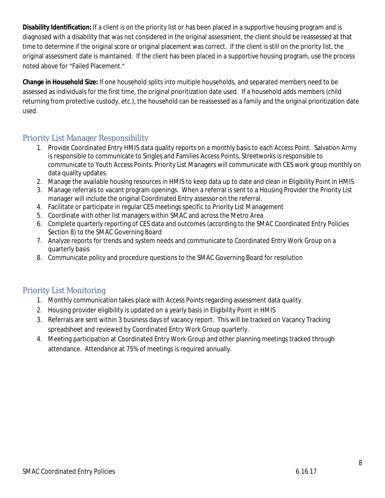**Disability Identification:** If a client is on the priority list or has been placed in a supportive housing program and is diagnosed with a disability that was not considered in the original assessment, the client should be reassessed at that time to determine if the original score or original placement was correct. If the client is still on the priority list, the original assessment date is maintained. If the client has been placed in a supportive housing program, use the process noted above for "Failed Placement."

**Change in Household Size:** If one household splits into multiple households, and separated members need to be assessed as individuals for the first time, the original prioritization date used. If a household adds members (child returning from protective custody, etc.), the household can be reassessed as a family and the original prioritization date used.

## Priority List Manager Responsibility

- 1. Provide Coordinated Entry HMIS data quality reports on a monthly basis to each Access Point. Salvation Army is responsible to communicate to Singles and Families Access Points, Streetworks is responsible to communicate to Youth Access Points. Priority List Managers will communicate with CES work group monthly on data quality updates.
- 2. Manage the available housing resources in HMIS to keep data up to date and clean in Eligibility Point in HMIS
- 3. Manage referrals to vacant program openings. When a referral is sent to a Housing Provider the Priority List manager will include the original Coordinated Entry assessor on the referral.
- 4. Facilitate or participate in regular CES meetings specific to Priority List Management
- 5. Coordinate with other list managers within SMAC and across the Metro Area
- 6. Complete quarterly reporting of CES data and outcomes (according to the SMAC Coordinated Entry Policies Section 8) to the SMAC Governing Board
- 7. Analyze reports for trends and system needs and communicate to Coordinated Entry Work Group on a quarterly basis
- 8. Communicate policy and procedure questions to the SMAC Governing Board for resolution

#### Priority List Monitoring

- 1. Monthly communication takes place with Access Points regarding assessment data quality.
- 2. Housing provider eligibility is updated on a yearly basis in Eligibility Point in HMIS
- 3. Referrals are sent within 3 business days of vacancy report. This will be tracked on Vacancy Tracking spreadsheet and reviewed by Coordinated Entry Work Group quarterly.
- 4. Meeting participation at Coordinated Entry Work Group and other planning meetings tracked through attendance. Attendance at 75% of meetings is required annually.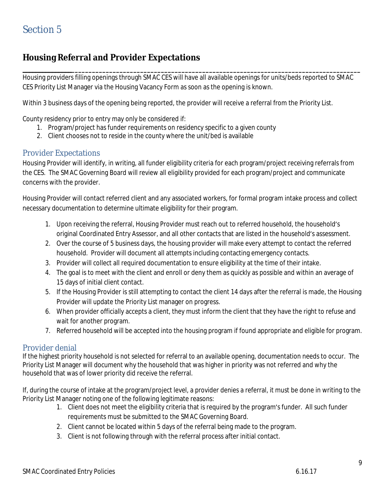# **Housing Referral and Provider Expectations**

Housing providers filling openings through SMAC CES will have all available openings for units/beds reported to SMAC CES Priority List Manager via the Housing Vacancy Form as soon as the opening is known.

**\_\_\_\_\_\_\_\_\_\_\_\_\_\_\_\_\_\_\_\_\_\_\_\_\_\_\_\_\_\_\_\_\_\_\_\_\_\_\_\_\_\_\_\_\_\_\_\_\_\_\_\_\_\_\_\_\_\_\_\_\_\_\_\_\_\_\_\_\_\_\_\_\_\_\_\_\_\_\_\_\_\_\_\_\_\_\_\_\_\_\_\_\_\_\_\_\_\_\_**

Within 3 business days of the opening being reported, the provider will receive a referral from the Priority List.

County residency prior to entry may only be considered if:

- 1. Program/project has funder requirements on residency specific to a given county
- 2. Client chooses not to reside in the county where the unit/bed is available

#### Provider Expectations

Housing Provider will identify, in writing, all funder eligibility criteria for each program/project receiving referrals from the CES. The SMAC Governing Board will review all eligibility provided for each program/project and communicate concerns with the provider.

Housing Provider will contact referred client and any associated workers, for formal program intake process and collect necessary documentation to determine ultimate eligibility for their program.

- 1. Upon receiving the referral, Housing Provider must reach out to referred household, the household's original Coordinated Entry Assessor, and all other contacts that are listed in the household's assessment.
- 2. Over the course of 5 business days, the housing provider will make every attempt to contact the referred household. Provider will document all attempts including contacting emergency contacts.
- 3. Provider will collect all required documentation to ensure eligibility at the time of their intake.
- 4. The goal is to meet with the client and enroll or deny them as quickly as possible and within an average of 15 days of initial client contact.
- 5. If the Housing Provider is still attempting to contact the client 14 days after the referral is made, the Housing Provider will update the Priority List manager on progress.
- 6. When provider officially accepts a client, they must inform the client that they have the right to refuse and wait for another program.
- 7. Referred household will be accepted into the housing program if found appropriate and eligible for program.

#### Provider denial

If the highest priority household is not selected for referral to an available opening, documentation needs to occur. The Priority List Manager will document why the household that was higher in priority was not referred and why the household that was of lower priority did receive the referral.

If, during the course of intake at the program/project level, a provider denies a referral, it must be done in writing to the Priority List Manager noting one of the following legitimate reasons:

- 1. Client does not meet the eligibility criteria that is required by the program's funder. All such funder requirements must be submitted to the SMAC Governing Board.
- 2. Client cannot be located within 5 days of the referral being made to the program.
- 3. Client is not following through with the referral process after initial contact.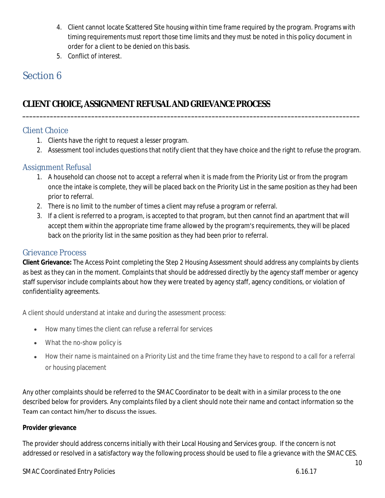- 4. Client cannot locate Scattered Site housing within time frame required by the program. Programs with timing requirements must report those time limits and they must be noted in this policy document in order for a client to be denied on this basis.
- 5. Conflict of interest.

# Section 6

# **CLIENTCHOICE,ASSIGNMENTREFUSALAND GRIEVANCEPROCESS**

## Client Choice

- 1. Clients have the right to request a lesser program.
- 2. Assessment tool includes questions that notify client that they have choice and the right to refuse the program.

**\_\_\_\_\_\_\_\_\_\_\_\_\_\_\_\_\_\_\_\_\_\_\_\_\_\_\_\_\_\_\_\_\_\_\_\_\_\_\_\_\_\_\_\_\_\_\_\_\_\_\_\_\_\_\_\_\_\_\_\_\_\_\_\_\_\_\_\_\_\_\_\_\_\_\_\_\_\_\_\_\_\_\_\_\_\_\_\_\_\_\_\_\_\_\_\_\_\_**

## Assignment Refusal

- 1. A household can choose not to accept a referral when it is made from the Priority List or from the program once the intake is complete, they will be placed back on the Priority List in the same position as they had been prior to referral.
- 2. There is no limit to the number of times a client may refuse a program or referral.
- 3. If a client is referred to a program, is accepted to that program, but then cannot find an apartment that will accept them within the appropriate time frame allowed by the program's requirements, they will be placed back on the priority list in the same position as they had been prior to referral.

### Grievance Process

**Client Grievance:** The Access Point completing the Step 2 Housing Assessment should address any complaints by clients as best as they can in the moment. Complaints that should be addressed directly by the agency staff member or agency staff supervisor include complaints about how they were treated by agency staff, agency conditions, or violation of confidentiality agreements.

A client should understand at intake and during the assessment process:

- How many times the client can refuse a referral for services
- What the no-show policy is
- How their name is maintained on a Priority List and the time frame they have to respond to a call for a referral or housing placement

Any other complaints should be referred to the SMAC Coordinator to be dealt with in a similar process to the one described below for providers. Any complaints filed by a client should note their name and contact information so the Team can contact him/her to discuss the issues.

#### **Provider grievance**

The provider should address concerns initially with their Local Housing and Services group. If the concern is not addressed or resolved in a satisfactory way the following process should be used to file a grievance with the SMAC CES.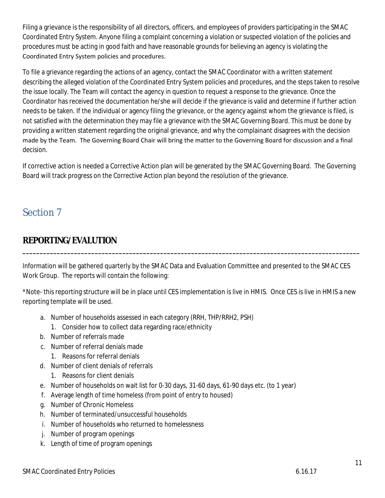Filing a grievance is the responsibility of all directors, officers, and employees of providers participating in the SMAC Coordinated Entry System. Anyone filing a complaint concerning a violation or suspected violation of the policies and procedures must be acting in good faith and have reasonable grounds for believing an agency is violating the Coordinated Entry System policies and procedures.

To file a grievance regarding the actions of an agency, contact the SMAC Coordinator with a written statement describing the alleged violation of the Coordinated Entry System policies and procedures, and the steps taken to resolve the issue locally. The Team will contact the agency in question to request a response to the grievance. Once the Coordinator has received the documentation he/she will decide if the grievance is valid and determine if further action needs to be taken. If the individual or agency filing the grievance, or the agency against whom the grievance is filed, is not satisfied with the determination they may file a grievance with the SMAC Governing Board. This must be done by providing a written statement regarding the original grievance, and why the complainant disagrees with the decision made by the Team. The Governing Board Chair will bring the matter to the Governing Board for discussion and a final decision.

If corrective action is needed a Corrective Action plan will be generated by the SMAC Governing Board. The Governing Board will track progress on the Corrective Action plan beyond the resolution of the grievance.

# Section 7

# **REPORTING/EVALUTION**

Information will be gathered quarterly by the SMAC Data and Evaluation Committee and presented to the SMAC CES Work Group. The reports will contain the following:

**\_\_\_\_\_\_\_\_\_\_\_\_\_\_\_\_\_\_\_\_\_\_\_\_\_\_\_\_\_\_\_\_\_\_\_\_\_\_\_\_\_\_\_\_\_\_\_\_\_\_\_\_\_\_\_\_\_\_\_\_\_\_\_\_\_\_\_\_\_\_\_\_\_\_\_\_\_\_\_\_\_\_\_\_\_\_\_\_\_\_\_\_\_\_\_\_\_\_**

\*Note- this reporting structure will be in place until CES implementation is live in HMIS. Once CES is live in HMIS a new reporting template will be used.

- a. Number of households assessed in each category (RRH, THP/RRH2, PSH)
	- 1. Consider how to collect data regarding race/ethnicity
- b. Number of referrals made
- c. Number of referral denials made
	- 1. Reasons for referral denials
- d. Number of client denials of referrals
	- 1. Reasons for client denials
- e. Number of households on wait list for 0-30 days, 31-60 days, 61-90 days etc. (to 1 year)
- f. Average length of time homeless (from point of entry to housed)
- g. Number of Chronic Homeless
- h. Number of terminated/unsuccessful households
- i. Number of households who returned to homelessness
- j. Number of program openings
- k. Length of time of program openings